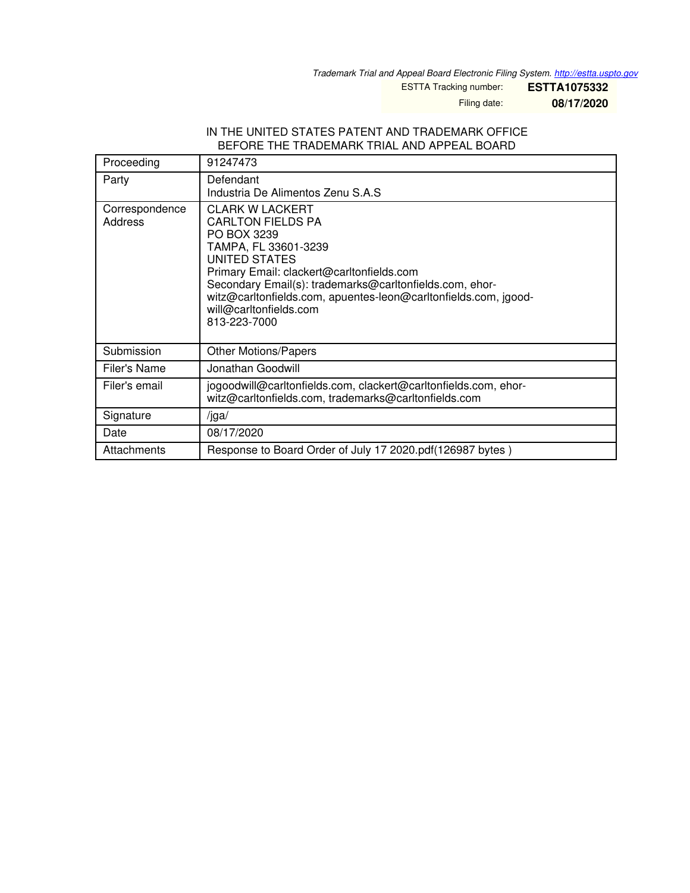*Trademark Trial and Appeal Board Electronic Filing System. <http://estta.uspto.gov>*

ESTTA Tracking number: **ESTTA1075332**

Filing date: **08/17/2020**

#### IN THE UNITED STATES PATENT AND TRADEMARK OFFICE BEFORE THE TRADEMARK TRIAL AND APPEAL BOARD

| Proceeding                | 91247473                                                                                                                                                                                                                                                                                                                               |
|---------------------------|----------------------------------------------------------------------------------------------------------------------------------------------------------------------------------------------------------------------------------------------------------------------------------------------------------------------------------------|
| Party                     | Defendant<br>Industria De Alimentos Zenu S.A.S                                                                                                                                                                                                                                                                                         |
| Correspondence<br>Address | <b>CLARK W LACKERT</b><br><b>CARLTON FIELDS PA</b><br>PO BOX 3239<br>TAMPA, FL 33601-3239<br><b>UNITED STATES</b><br>Primary Email: clackert@carltonfields.com<br>Secondary Email(s): trademarks@carltonfields.com, ehor-<br>witz@carltonfields.com, apuentes-leon@carltonfields.com, jgood-<br>will@carltonfields.com<br>813-223-7000 |
| Submission                | <b>Other Motions/Papers</b>                                                                                                                                                                                                                                                                                                            |
| Filer's Name              | Jonathan Goodwill                                                                                                                                                                                                                                                                                                                      |
| Filer's email             | jogoodwill@carltonfields.com, clackert@carltonfields.com, ehor-<br>witz@carltonfields.com, trademarks@carltonfields.com                                                                                                                                                                                                                |
| Signature                 | $\sqrt{g}$ a/                                                                                                                                                                                                                                                                                                                          |
| Date                      | 08/17/2020                                                                                                                                                                                                                                                                                                                             |
| Attachments               | Response to Board Order of July 17 2020.pdf (126987 bytes)                                                                                                                                                                                                                                                                             |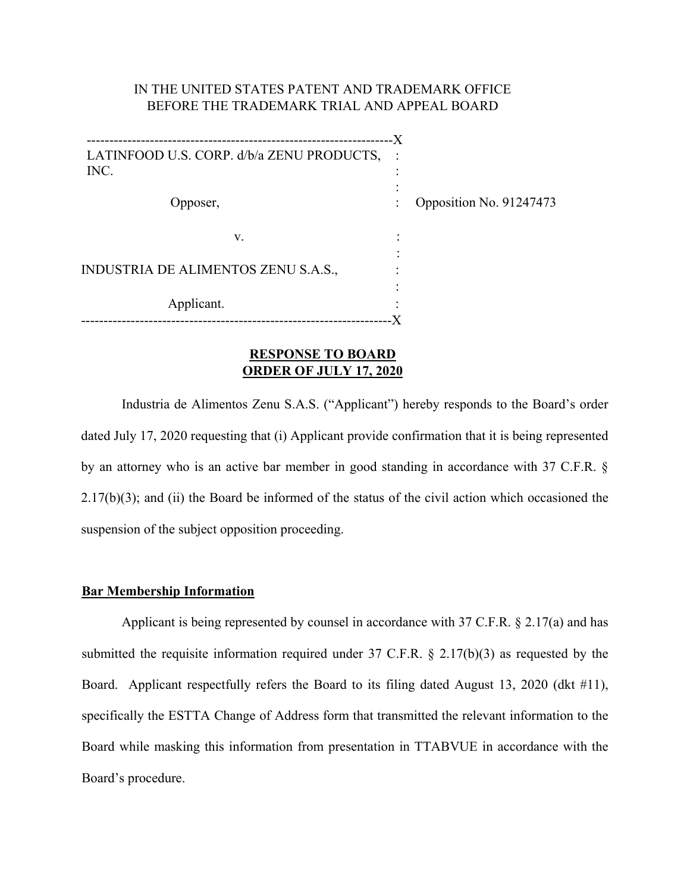## IN THE UNITED STATES PATENT AND TRADEMARK OFFICE BEFORE THE TRADEMARK TRIAL AND APPEAL BOARD

| LATINFOOD U.S. CORP. d/b/a ZENU PRODUCTS,<br>INC. |   |                         |
|---------------------------------------------------|---|-------------------------|
|                                                   |   |                         |
|                                                   |   |                         |
| Opposer,                                          |   | Opposition No. 91247473 |
|                                                   |   |                         |
| V.                                                | ٠ |                         |
|                                                   |   |                         |
| INDUSTRIA DE ALIMENTOS ZENU S.A.S.,               |   |                         |
|                                                   |   |                         |
| Applicant.                                        |   |                         |
|                                                   |   |                         |
|                                                   |   |                         |

### **RESPONSE TO BOARD ORDER OF JULY 17, 2020**

Industria de Alimentos Zenu S.A.S. ("Applicant") hereby responds to the Board's order dated July 17, 2020 requesting that (i) Applicant provide confirmation that it is being represented by an attorney who is an active bar member in good standing in accordance with 37 C.F.R. § 2.17(b)(3); and (ii) the Board be informed of the status of the civil action which occasioned the suspension of the subject opposition proceeding.

### **Bar Membership Information**

 Applicant is being represented by counsel in accordance with 37 C.F.R. § 2.17(a) and has submitted the requisite information required under 37 C.F.R. § 2.17(b)(3) as requested by the Board. Applicant respectfully refers the Board to its filing dated August 13, 2020 (dkt #11), specifically the ESTTA Change of Address form that transmitted the relevant information to the Board while masking this information from presentation in TTABVUE in accordance with the Board's procedure.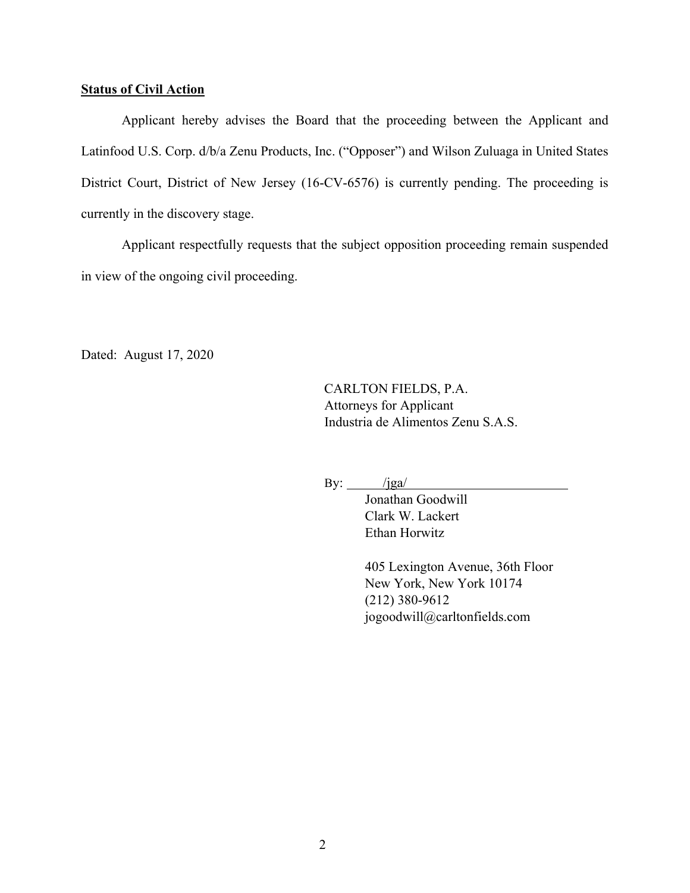### **Status of Civil Action**

Applicant hereby advises the Board that the proceeding between the Applicant and Latinfood U.S. Corp. d/b/a Zenu Products, Inc. ("Opposer") and Wilson Zuluaga in United States District Court, District of New Jersey (16-CV-6576) is currently pending. The proceeding is currently in the discovery stage.

Applicant respectfully requests that the subject opposition proceeding remain suspended in view of the ongoing civil proceeding.

Dated: August 17, 2020

CARLTON FIELDS, P.A. Attorneys for Applicant Industria de Alimentos Zenu S.A.S.

By:  $/$ jga $/$ 

 Jonathan Goodwill Clark W. Lackert Ethan Horwitz

 405 Lexington Avenue, 36th Floor New York, New York 10174 (212) 380-9612 jogoodwill@carltonfields.com